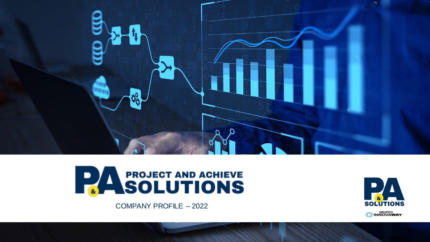



**SOLUTIONS S**<sup>v</sup>EINNOVAWAY

COMPANY PROFILE – 2022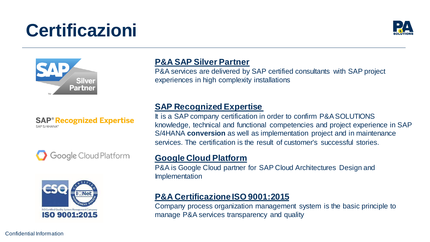# **Certificazioni**





**SAP<sup>®</sup> Recognized Expertise** SAP S/4HANA®





## **P&A SAP Silver Partner**

P&A services are delivered by SAP certified consultants with SAP project experiences in high complexity installations

### **SAP Recognized Expertise**

It is a SAP company certification in order to confirm P&A SOLUTIONS knowledge, technical and functional competencies and project experience in SAP S/4HANA **conversion** as well as implementation project and in maintenance services. The certification is the result of customer's successful stories.

### **Google Cloud Platform**

P&A is Google Cloud partner for SAP Cloud Architectures Design and Implementation

## **P&A Certificazione ISO 9001:2015**

Company process organization management system is the basic principle to manage P&A services transparency and quality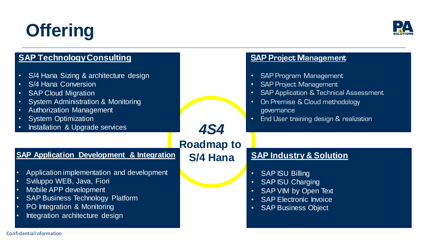# **Offering**



| <b>SAP Technology Consulting</b>                                                                                                                                                                                                                                                |                   | <b>SAP Project Management</b>                                                                                                                                                                          |
|---------------------------------------------------------------------------------------------------------------------------------------------------------------------------------------------------------------------------------------------------------------------------------|-------------------|--------------------------------------------------------------------------------------------------------------------------------------------------------------------------------------------------------|
| S/4 Hana Sizing & architecture design<br>$\bullet$<br>S/4 Hana Conversion<br>$\bullet$<br><b>SAP Cloud Migration</b><br>$\bullet$<br><b>System Administration &amp; Monitoring</b><br>Authorization Management<br><b>System Optimization</b><br>Installation & Upgrade services | <b>4S4</b>        | SAP Program Management<br><b>SAP Project Management</b><br><b>SAP Application &amp; Technical Assessment</b><br>On Premise & Cloud methodology<br>governance<br>End User training design & realization |
|                                                                                                                                                                                                                                                                                 | <b>Roadmap to</b> |                                                                                                                                                                                                        |
| <b>SAP Application Development &amp; Integration</b>                                                                                                                                                                                                                            | <b>S/4 Hana</b>   | <b>SAP Industry &amp; Solution</b>                                                                                                                                                                     |
| Application implementation and development<br>Sviluppo WEB, Java, Fiori<br>Mobile APP development<br><b>SAP Business Technology Platform</b><br>$\bullet$<br>PO Integration & Monitoring<br>Integration architecture design                                                     |                   | <b>SAP ISU Billing</b><br><b>SAP ISU Charging</b><br>$\bullet$<br>SAP VIM by Open Text<br><b>SAP Electronic Invoice</b><br><b>SAP Business Object</b><br>$\bullet$ .                                   |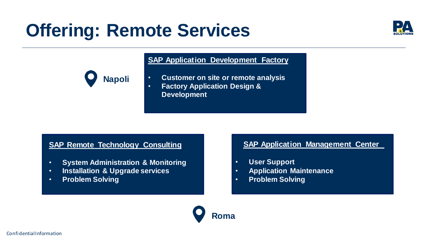## **Offering: Remote Services**





#### **SAP Application Development Factory**

- **Customer on site or remote analysis**
- **Factory Application Design & Development**

#### **SAP Remote Technology Consulting**

- **System Administration & Monitoring**
- **Installation & Upgrade services**
- **Problem Solving**

#### **SAP Application Management Center**

- **User Support**
- **Application Maintenance**
- **Problem Solving**

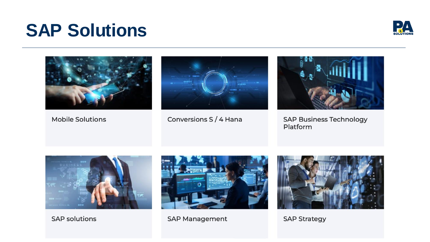## **SAP Solutions**





**Mobile Solutions** 



Conversions S / 4 Hana



**SAP Business Technology** Platform



**SAP solutions** 



**SAP Management** 



**SAP Strategy**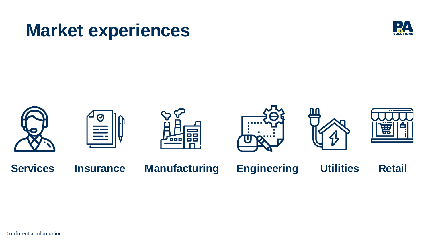## **Market experiences**





Confidential Information